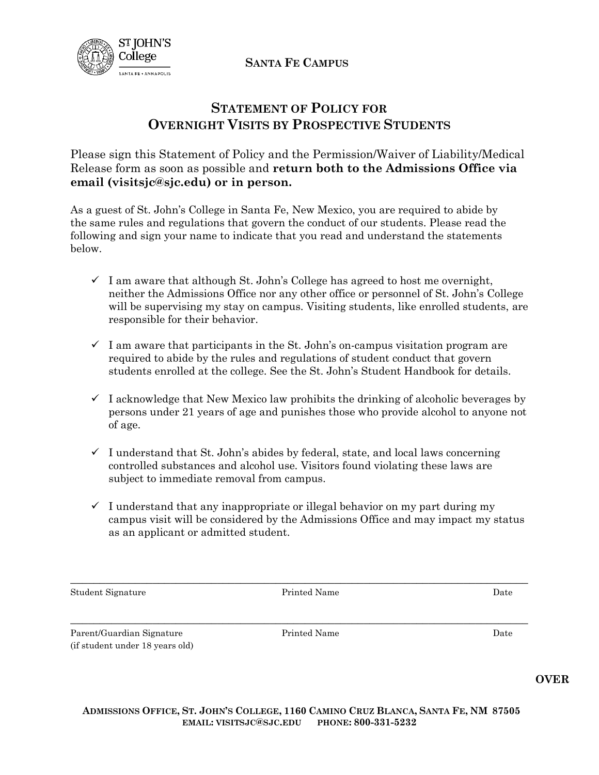**SANTA FE CAMPUS**



## **STATEMENT OF POLICY FOR OVERNIGHT VISITS BY PROSPECTIVE STUDENTS**

Please sign this Statement of Policy and the Permission/Waiver of Liability/Medical Release form as soon as possible and **return both to the Admissions Office via email [\(visitsjc@sjc.edu\)](mailto:visitsjc@sjc.edu) or in person.** 

As a guest of St. John's College in Santa Fe, New Mexico, you are required to abide by the same rules and regulations that govern the conduct of our students. Please read the following and sign your name to indicate that you read and understand the statements below.

- $\checkmark$  I am aware that although St. John's College has agreed to host me overnight, neither the Admissions Office nor any other office or personnel of St. John's College will be supervising my stay on campus. Visiting students, like enrolled students, are responsible for their behavior.
- $\checkmark$  I am aware that participants in the St. John's on-campus visitation program are required to abide by the rules and regulations of student conduct that govern students enrolled at the college. See the St. John's Student Handbook for details.
- $\checkmark$  I acknowledge that New Mexico law prohibits the drinking of alcoholic beverages by persons under 21 years of age and punishes those who provide alcohol to anyone not of age.
- $\checkmark$  I understand that St. John's abides by federal, state, and local laws concerning controlled substances and alcohol use. Visitors found violating these laws are subject to immediate removal from campus.
- $\checkmark$  I understand that any inappropriate or illegal behavior on my part during my campus visit will be considered by the Admissions Office and may impact my status as an applicant or admitted student.

Student Signature **Printed Name** Printed Name **Date** Date

\_\_\_\_\_\_\_\_\_\_\_\_\_\_\_\_\_\_\_\_\_\_\_\_\_\_\_\_\_\_\_\_\_\_\_\_\_\_\_\_\_\_\_\_\_\_\_\_\_\_\_\_\_\_\_\_\_\_\_\_\_\_\_\_\_\_\_\_\_\_\_\_\_\_\_\_\_\_

\_\_\_\_\_\_\_\_\_\_\_\_\_\_\_\_\_\_\_\_\_\_\_\_\_\_\_\_\_\_\_\_\_\_\_\_\_\_\_\_\_\_\_\_\_\_\_\_\_\_\_\_\_\_\_\_\_\_\_\_\_\_\_\_\_\_\_\_\_\_\_\_\_\_\_\_\_\_

Parent/Guardian Signature (if student under 18 years old) Printed Name Date

**OVER**

ADMISSIONS OFFICE, ST. JOHN'S COLLEGE, 1160 CAMINO CRUZ BLANCA, SANTA FE, NM 87505 **EMAIL: VISITSJC@SJC.EDU PHONE: 800-331-5232**